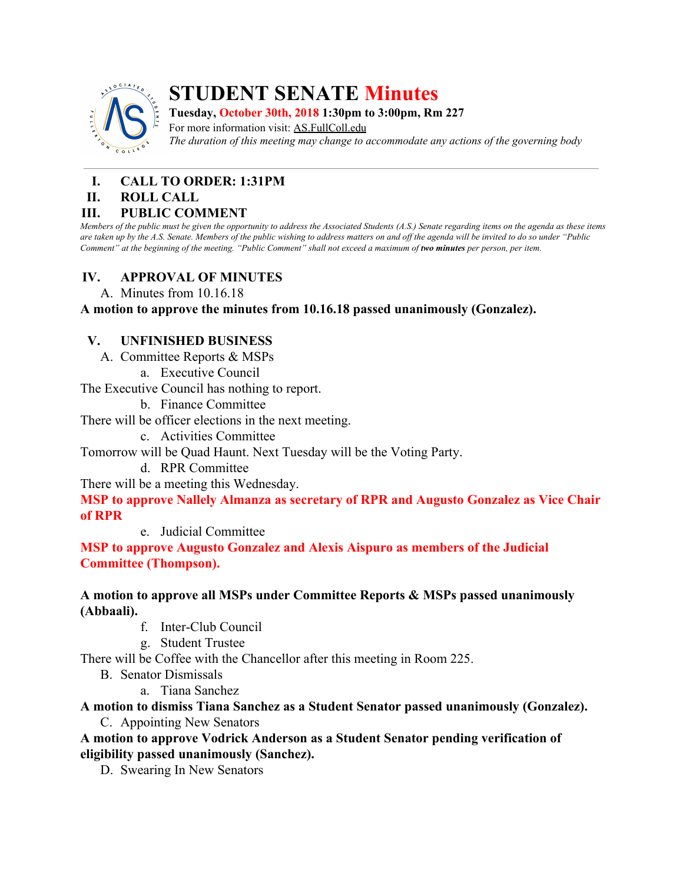

# **STUDENT SENATE Minutes**

**Tuesday, October 30th, 2018 1:30pm to 3:00pm, Rm 227**

For more information visit: AS.FullColl.edu *The duration of this meeting may change to accommodate any actions of the governing body*

## **I. CALL TO ORDER: 1:31PM**

#### **II. ROLL CALL**

#### **III. PUBLIC COMMENT**

Members of the public must be given the opportunity to address the Associated Students (A.S.) Senate regarding items on the agenda as these items are taken up by the A.S. Senate. Members of the public wishing to address matters on and off the agenda will be invited to do so under "Public Comment" at the beginning of the meeting. "Public Comment" shall not exceed a maximum of two minutes per person, per item.

#### **IV. APPROVAL OF MINUTES**

A. Minutes from 10.16.18

#### **A motion to approve the minutes from 10.16.18 passed unanimously (Gonzalez).**

#### **V. UNFINISHED BUSINESS**

A. Committee Reports & MSPs

a. Executive Council

The Executive Council has nothing to report.

b. Finance Committee

There will be officer elections in the next meeting.

c. Activities Committee

Tomorrow will be Quad Haunt. Next Tuesday will be the Voting Party.

d. RPR Committee

There will be a meeting this Wednesday.

**MSP to approve Nallely Almanza as secretary of RPR and Augusto Gonzalez as Vice Chair of RPR**

e. Judicial Committee

**MSP to approve Augusto Gonzalez and Alexis Aispuro as members of the Judicial Committee (Thompson).**

#### **A motion to approve all MSPs under Committee Reports & MSPs passed unanimously (Abbaali).**

- f. Inter-Club Council
- g. Student Trustee

There will be Coffee with the Chancellor after this meeting in Room 225.

- B. Senator Dismissals
	- a. Tiana Sanchez

#### **A motion to dismiss Tiana Sanchez as a Student Senator passed unanimously (Gonzalez).**

C. Appointing New Senators

**A motion to approve Vodrick Anderson as a Student Senator pending verification of eligibility passed unanimously (Sanchez).**

D. Swearing In New Senators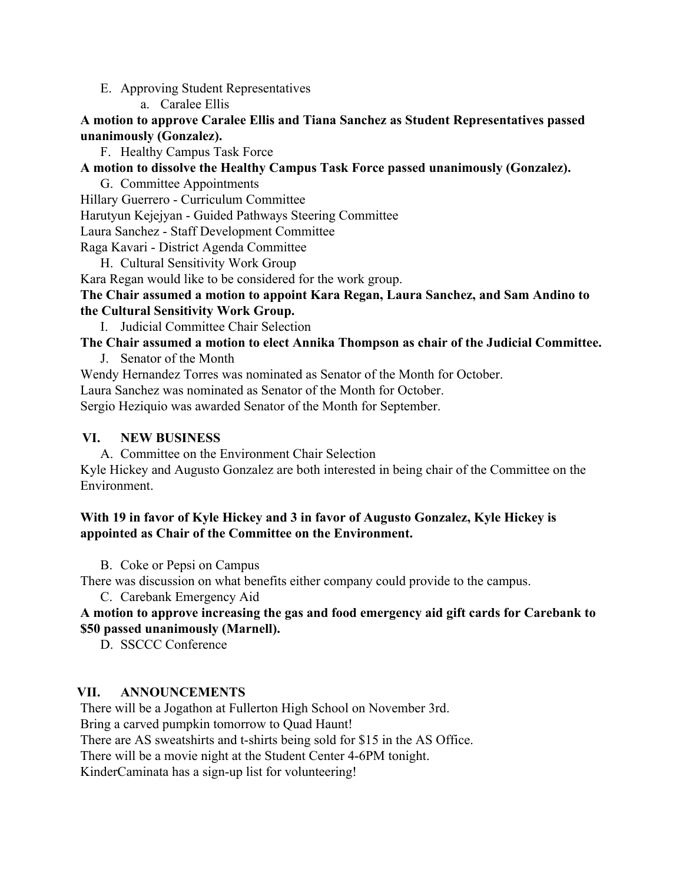- E. Approving Student Representatives
	- a. Caralee Ellis

**A motion to approve Caralee Ellis and Tiana Sanchez as Student Representatives passed unanimously (Gonzalez).**

F. Healthy Campus Task Force

**A motion to dissolve the Healthy Campus Task Force passed unanimously (Gonzalez).**

- G. Committee Appointments
- Hillary Guerrero Curriculum Committee

Harutyun Kejejyan - Guided Pathways Steering Committee

Laura Sanchez - Staff Development Committee

Raga Kavari - District Agenda Committee

H. Cultural Sensitivity Work Group

Kara Regan would like to be considered for the work group.

#### **The Chair assumed a motion to appoint Kara Regan, Laura Sanchez, and Sam Andino to the Cultural Sensitivity Work Group.**

I. Judicial Committee Chair Selection

## **The Chair assumed a motion to elect Annika Thompson as chair of the Judicial Committee.**

J. Senator of the Month

Wendy Hernandez Torres was nominated as Senator of the Month for October.

Laura Sanchez was nominated as Senator of the Month for October.

Sergio Heziquio was awarded Senator of the Month for September.

## **VI. NEW BUSINESS**

A. Committee on the Environment Chair Selection

Kyle Hickey and Augusto Gonzalez are both interested in being chair of the Committee on the Environment.

#### **With 19 in favor of Kyle Hickey and 3 in favor of Augusto Gonzalez, Kyle Hickey is appointed as Chair of the Committee on the Environment.**

B. Coke or Pepsi on Campus

There was discussion on what benefits either company could provide to the campus.

C. Carebank Emergency Aid

## **A motion to approve increasing the gas and food emergency aid gift cards for Carebank to \$50 passed unanimously (Marnell).**

D. SSCCC Conference

## **VII. ANNOUNCEMENTS**

There will be a Jogathon at Fullerton High School on November 3rd.

Bring a carved pumpkin tomorrow to Quad Haunt!

There are AS sweatshirts and t-shirts being sold for \$15 in the AS Office.

There will be a movie night at the Student Center 4-6PM tonight.

KinderCaminata has a sign-up list for volunteering!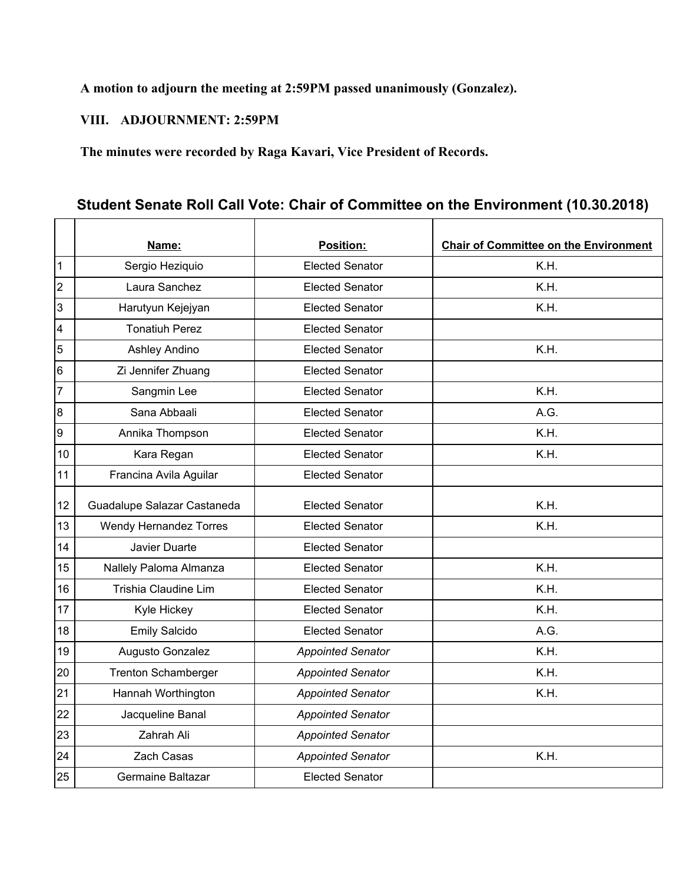## **A motion to adjourn the meeting at 2:59PM passed unanimously (Gonzalez).**

#### **VIII. ADJOURNMENT: 2:59PM**

**The minutes were recorded by Raga Kavari, Vice President of Records.**

## **Student Senate Roll Call Vote: Chair of Committee on the Environment (10.30.2018)**

|                | Name:                       | <b>Position:</b>         | <b>Chair of Committee on the Environment</b> |
|----------------|-----------------------------|--------------------------|----------------------------------------------|
| 1              | Sergio Heziquio             | <b>Elected Senator</b>   | K.H.                                         |
| 2              | Laura Sanchez               | <b>Elected Senator</b>   | K.H.                                         |
| 3              | Harutyun Kejejyan           | <b>Elected Senator</b>   | K.H.                                         |
| 4              | <b>Tonatiuh Perez</b>       | <b>Elected Senator</b>   |                                              |
| 5              | Ashley Andino               | <b>Elected Senator</b>   | K.H.                                         |
| 6              | Zi Jennifer Zhuang          | <b>Elected Senator</b>   |                                              |
| $\overline{7}$ | Sangmin Lee                 | <b>Elected Senator</b>   | K.H.                                         |
| 8              | Sana Abbaali                | <b>Elected Senator</b>   | A.G.                                         |
| 9              | Annika Thompson             | <b>Elected Senator</b>   | K.H.                                         |
| 10             | Kara Regan                  | <b>Elected Senator</b>   | K.H.                                         |
| 11             | Francina Avila Aguilar      | <b>Elected Senator</b>   |                                              |
| 12             | Guadalupe Salazar Castaneda | <b>Elected Senator</b>   | K.H.                                         |
| 13             | Wendy Hernandez Torres      | <b>Elected Senator</b>   | K.H.                                         |
| 14             | Javier Duarte               | <b>Elected Senator</b>   |                                              |
| 15             | Nallely Paloma Almanza      | <b>Elected Senator</b>   | K.H.                                         |
| 16             | Trishia Claudine Lim        | <b>Elected Senator</b>   | K.H.                                         |
| 17             | Kyle Hickey                 | <b>Elected Senator</b>   | K.H.                                         |
| 18             | <b>Emily Salcido</b>        | <b>Elected Senator</b>   | A.G.                                         |
| 19             | Augusto Gonzalez            | <b>Appointed Senator</b> | K.H.                                         |
| 20             | <b>Trenton Schamberger</b>  | <b>Appointed Senator</b> | K.H.                                         |
| 21             | Hannah Worthington          | <b>Appointed Senator</b> | K.H.                                         |
| 22             | Jacqueline Banal            | <b>Appointed Senator</b> |                                              |
| 23             | Zahrah Ali                  | <b>Appointed Senator</b> |                                              |
| 24             | Zach Casas                  | <b>Appointed Senator</b> | K.H.                                         |
| 25             | Germaine Baltazar           | <b>Elected Senator</b>   |                                              |